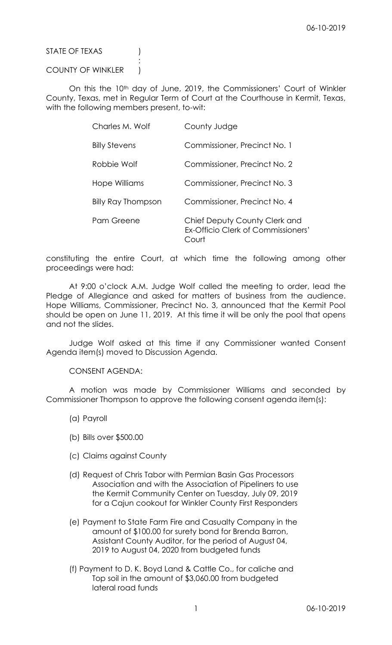STATE OF TEXAS (1)

## COUNTY OF WINKLER )

:

On this the 10<sup>th</sup> day of June, 2019, the Commissioners' Court of Winkler County, Texas, met in Regular Term of Court at the Courthouse in Kermit, Texas, with the following members present, to-wit:

| Charles M. Wolf      | County Judge                                                                 |
|----------------------|------------------------------------------------------------------------------|
| <b>Billy Stevens</b> | Commissioner, Precinct No. 1                                                 |
| Robbie Wolf          | Commissioner, Precinct No. 2                                                 |
| Hope Williams        | Commissioner, Precinct No. 3                                                 |
| Billy Ray Thompson   | Commissioner, Precinct No. 4                                                 |
| Pam Greene           | Chief Deputy County Clerk and<br>Ex-Officio Clerk of Commissioners'<br>`ourt |

constituting the entire Court, at which time the following among other proceedings were had:

At 9:00 o'clock A.M. Judge Wolf called the meeting to order, lead the Pledge of Allegiance and asked for matters of business from the audience. Hope Williams, Commissioner, Precinct No. 3, announced that the Kermit Pool should be open on June 11, 2019. At this time it will be only the pool that opens and not the slides.

Judge Wolf asked at this time if any Commissioner wanted Consent Agenda item(s) moved to Discussion Agenda.

CONSENT AGENDA:

A motion was made by Commissioner Williams and seconded by Commissioner Thompson to approve the following consent agenda item(s):

- (a) Payroll
- (b) Bills over \$500.00
- (c) Claims against County
- (d) Request of Chris Tabor with Permian Basin Gas Processors Association and with the Association of Pipeliners to use the Kermit Community Center on Tuesday, July 09, 2019 for a Cajun cookout for Winkler County First Responders
- (e) Payment to State Farm Fire and Casualty Company in the amount of \$100.00 for surety bond for Brenda Barron, Assistant County Auditor, for the period of August 04, 2019 to August 04, 2020 from budgeted funds
- (f) Payment to D. K. Boyd Land & Cattle Co., for caliche and Top soil in the amount of \$3,060.00 from budgeted lateral road funds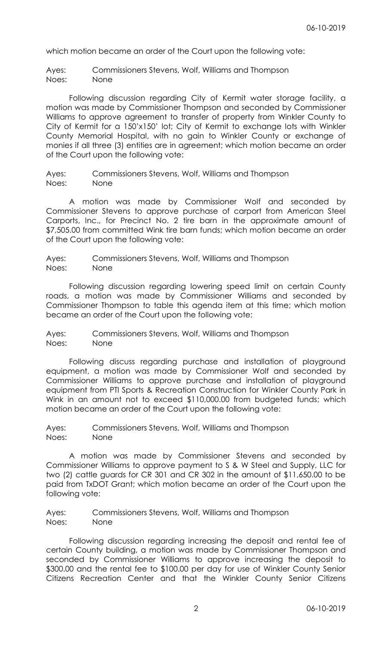which motion became an order of the Court upon the following vote:

Ayes: Commissioners Stevens, Wolf, Williams and Thompson Noes: None

Following discussion regarding City of Kermit water storage facility, a motion was made by Commissioner Thompson and seconded by Commissioner Williams to approve agreement to transfer of property from Winkler County to City of Kermit for a 150'x150' lot; City of Kermit to exchange lots with Winkler County Memorial Hospital, with no gain to Winkler County or exchange of monies if all three (3) entities are in agreement; which motion became an order of the Court upon the following vote:

Ayes: Commissioners Stevens, Wolf, Williams and Thompson Noes: None

A motion was made by Commissioner Wolf and seconded by Commissioner Stevens to approve purchase of carport from American Steel Carports, Inc., for Precinct No. 2 tire barn in the approximate amount of \$7,505.00 from committed Wink tire barn funds; which motion became an order of the Court upon the following vote:

Ayes: Commissioners Stevens, Wolf, Williams and Thompson Noes: None

Following discussion regarding lowering speed limit on certain County roads, a motion was made by Commissioner Williams and seconded by Commissioner Thompson to table this agenda item at this time; which motion became an order of the Court upon the following vote:

Ayes: Commissioners Stevens, Wolf, Williams and Thompson Noes: None

Following discuss regarding purchase and installation of playground equipment, a motion was made by Commissioner Wolf and seconded by Commissioner Williams to approve purchase and installation of playground equipment from PTI Sports & Recreation Construction for Winkler County Park in Wink in an amount not to exceed \$110,000.00 from budgeted funds; which motion became an order of the Court upon the following vote:

Ayes: Commissioners Stevens, Wolf, Williams and Thompson Noes: None

A motion was made by Commissioner Stevens and seconded by Commissioner Williams to approve payment to S & W Steel and Supply, LLC for two (2) cattle guards for CR 301 and CR 302 in the amount of \$11,650.00 to be paid from TxDOT Grant; which motion became an order of the Court upon the following vote:

Ayes: Commissioners Stevens, Wolf, Williams and Thompson Noes: None

Following discussion regarding increasing the deposit and rental fee of certain County building, a motion was made by Commissioner Thompson and seconded by Commissioner Williams to approve increasing the deposit to \$300.00 and the rental fee to \$100.00 per day for use of Winkler County Senior Citizens Recreation Center and that the Winkler County Senior Citizens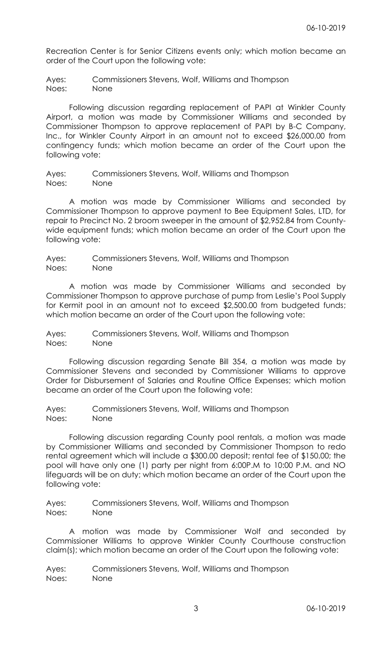Recreation Center is for Senior Citizens events only; which motion became an order of the Court upon the following vote:

Ayes: Commissioners Stevens, Wolf, Williams and Thompson Noes: None

Following discussion regarding replacement of PAPI at Winkler County Airport, a motion was made by Commissioner Williams and seconded by Commissioner Thompson to approve replacement of PAPI by B-C Company, Inc., for Winkler County Airport in an amount not to exceed \$26,000.00 from contingency funds; which motion became an order of the Court upon the following vote:

Ayes: Commissioners Stevens, Wolf, Williams and Thompson Noes: None

A motion was made by Commissioner Williams and seconded by Commissioner Thompson to approve payment to Bee Equipment Sales, LTD, for repair to Precinct No. 2 broom sweeper in the amount of \$2,952.84 from Countywide equipment funds; which motion became an order of the Court upon the following vote:

Ayes: Commissioners Stevens, Wolf, Williams and Thompson Noes: None

A motion was made by Commissioner Williams and seconded by Commissioner Thompson to approve purchase of pump from Leslie's Pool Supply for Kermit pool in an amount not to exceed \$2,500.00 from budgeted funds; which motion became an order of the Court upon the following vote:

Ayes: Commissioners Stevens, Wolf, Williams and Thompson Noes: None

Following discussion regarding Senate Bill 354, a motion was made by Commissioner Stevens and seconded by Commissioner Williams to approve Order for Disbursement of Salaries and Routine Office Expenses; which motion became an order of the Court upon the following vote:

Ayes: Commissioners Stevens, Wolf, Williams and Thompson Noes: None

Following discussion regarding County pool rentals, a motion was made by Commissioner Williams and seconded by Commissioner Thompson to redo rental agreement which will include a \$300.00 deposit; rental fee of \$150.00; the pool will have only one (1) party per night from 6:00P.M to 10:00 P.M. and NO lifeguards will be on duty; which motion became an order of the Court upon the following vote:

Ayes: Commissioners Stevens, Wolf, Williams and Thompson Noes: None

A motion was made by Commissioner Wolf and seconded by Commissioner Williams to approve Winkler County Courthouse construction claim(s); which motion became an order of the Court upon the following vote:

Ayes: Commissioners Stevens, Wolf, Williams and Thompson Noes: None